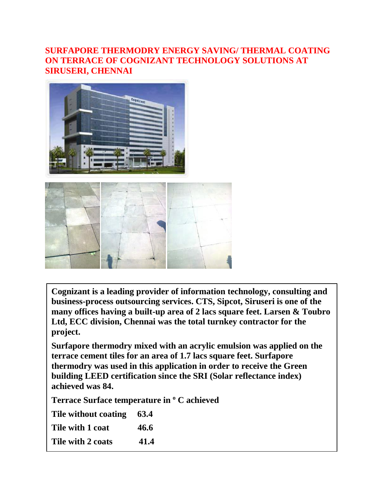#### **SURFAPORE THERMODRY ENERGY SAVING/ THERMAL COATING ON TERRACE OF COGNIZANT TECHNOLOGY SOLUTIONS AT SIRUSERI, CHENNAI**



**Cognizant is a leading provider of information technology, consulting and business-process outsourcing services. CTS, Sipcot, Siruseri is one of the many offices having a built-up area of 2 lacs square feet. Larsen & Toubro Ltd, ECC division, Chennai was the total turnkey contractor for the project.**

**Surfapore thermodry mixed with an acrylic emulsion was applied on the terrace cement tiles for an area of 1.7 lacs square feet. Surfapore thermodry was used in this application in order to receive the Green building LEED certification since the SRI (Solar reflectance index) achieved was 84.**

**Terrace Surface temperature in <sup>o</sup> C achieved**

**Tile without coating 63.4**

Tile with 1 coat 46.6

Tile with 2 coats 41.4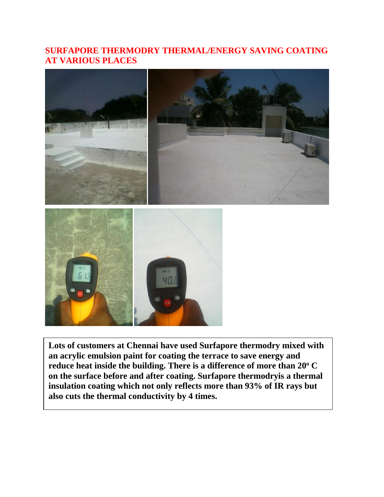#### **SURFAPORE THERMODRY THERMAL/ENERGY SAVING COATING AT VARIOUS PLACES**



**Lots of customers at Chennai have used Surfapore thermodry mixed with an acrylic emulsion paint for coating the terrace to save energy and reduce heat inside the building. There is a difference of more than 20<sup>o</sup> C on the surface before and after coating. Surfapore thermodryis a thermal insulation coating which not only reflects more than 93% of IR rays but also cuts the thermal conductivity by 4 times.**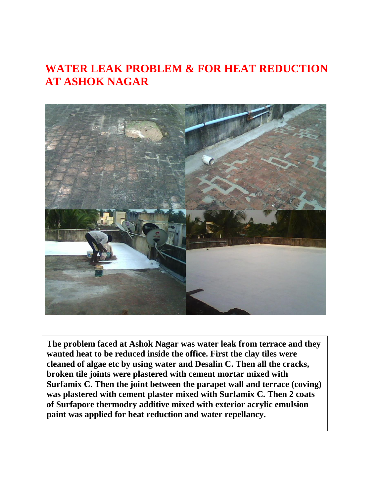### **WATER LEAK PROBLEM & FOR HEAT REDUCTION AT ASHOK NAGAR**



**Surface the Surface at Assock Nagal was water fear from terrace and wanted heat to be reduced inside the office. First the clay tiles were** cleaned of algae etc by using water and Desalin C. Then all the cracks, **The problem faced at Ashok Nagar was water leak from terrace and they broken tile joints were plastered with cement mortar mixed with Surfamix C. Then the joint between the parapet wall and terrace (coving) was plastered with cement plaster mixed with Surfamix C. Then 2 coats of Surfapore thermodry additive mixed with exterior acrylic emulsion paint was applied for heat reduction and water repellancy.**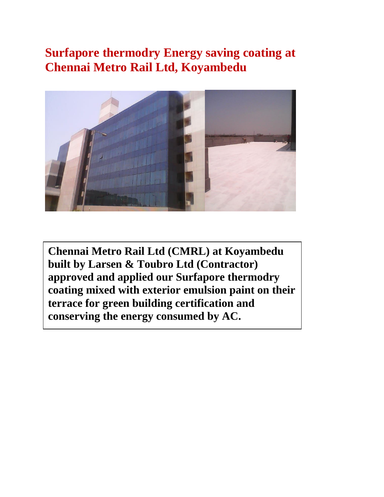### **Surfapore thermodry Energy saving coating at Chennai Metro Rail Ltd, Koyambedu**



**Chennai Metro Rail Ltd (CMRL) at Koyambedu built by Larsen & Toubro Ltd (Contractor) approved and applied our Surfapore thermodry coating mixed with exterior emulsion paint on their terrace for green building certification and conserving the energy consumed by AC.**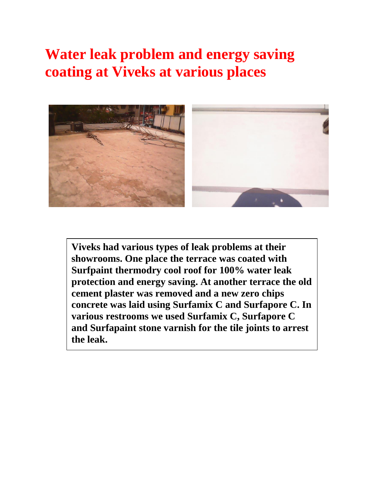## **Water leak problem and energy saving coating at Viveks at various places**



**Viveks had various types of leak problems at their showrooms. One place the terrace was coated with Surfpaint thermodry cool roof for 100% water leak protection and energy saving. At another terrace the old cement plaster was removed and a new zero chips concrete was laid using Surfamix C and Surfapore C. In various restrooms we used Surfamix C, Surfapore C and Surfapaint stone varnish for the tile joints to arrest the leak.**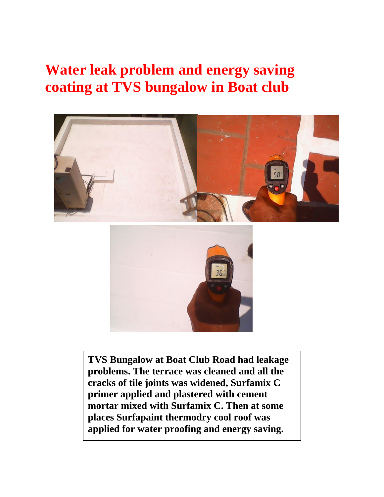## **Water leak problem and energy saving coating at TVS bungalow in Boat club**



**TVS Bungalow at Boat Club Road had leakage problems. The terrace was cleaned and all the cracks of tile joints was widened, Surfamix C primer applied and plastered with cement mortar mixed with Surfamix C. Then at some places Surfapaint thermodry cool roof was applied for water proofing and energy saving.**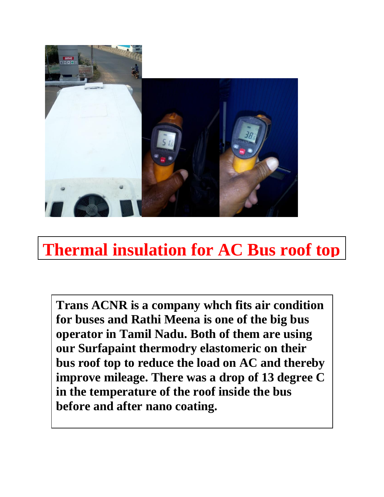

# **Thermal insulation for AC Bus roof top**

**Trans ACNR is a company whch fits air condition for buses and Rathi Meena is one of the big bus operator in Tamil Nadu. Both of them are using our Surfapaint thermodry elastomeric on their bus roof top to reduce the load on AC and thereby improve mileage. There was a drop of 13 degree C in the temperature of the roof inside the bus before and after nano coating.**